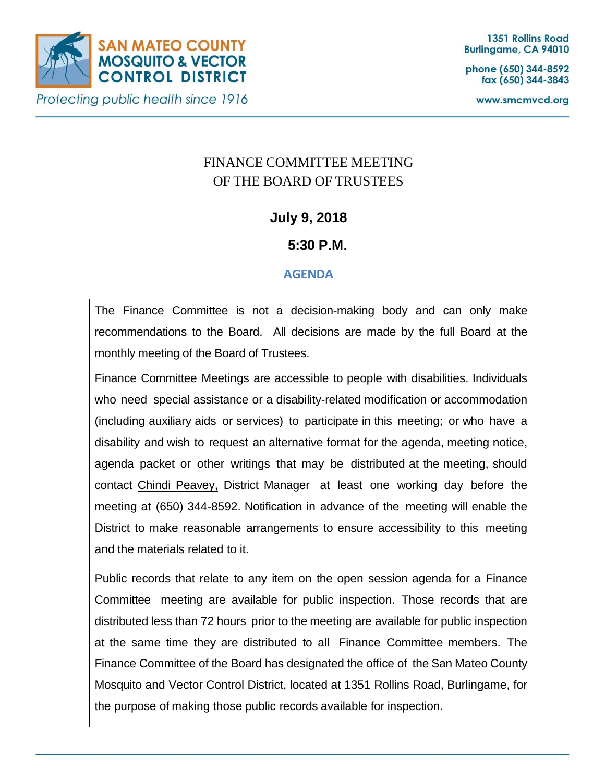

phone (650) 344-8592 fax (650) 344-3843

www.smcmvcd.org

# FINANCE COMMITTEE MEETING OF THE BOARD OF TRUSTEES

## **July 9, 2018**

## **5:30 P.M.**

## **AGENDA**

The Finance Committee is not a decision-making body and can only make recommendations to the Board. All decisions are made by the full Board at the monthly meeting of the Board of Trustees.

Finance Committee Meetings are accessible to people with disabilities. Individuals who need special assistance or a disability-related modification or accommodation (including auxiliary aids or services) to participate in this meeting; or who have a disability and wish to request an alternative format for the agenda, meeting notice, agenda packet or other writings that may be distributed at the meeting, should contact Chindi Peavey, District Manager at least one working day before the meeting at (650) 344-8592. Notification in advance of the meeting will enable the District to make reasonable arrangements to ensure accessibility to this meeting and the materials related to it.

Public records that relate to any item on the open session agenda for a Finance Committee meeting are available for public inspection. Those records that are distributed less than 72 hours prior to the meeting are available for public inspection at the same time they are distributed to all Finance Committee members. The Finance Committee of the Board has designated the office of the San Mateo County Mosquito and Vector Control District, located at 1351 Rollins Road, Burlingame, for the purpose of making those public records available for inspection.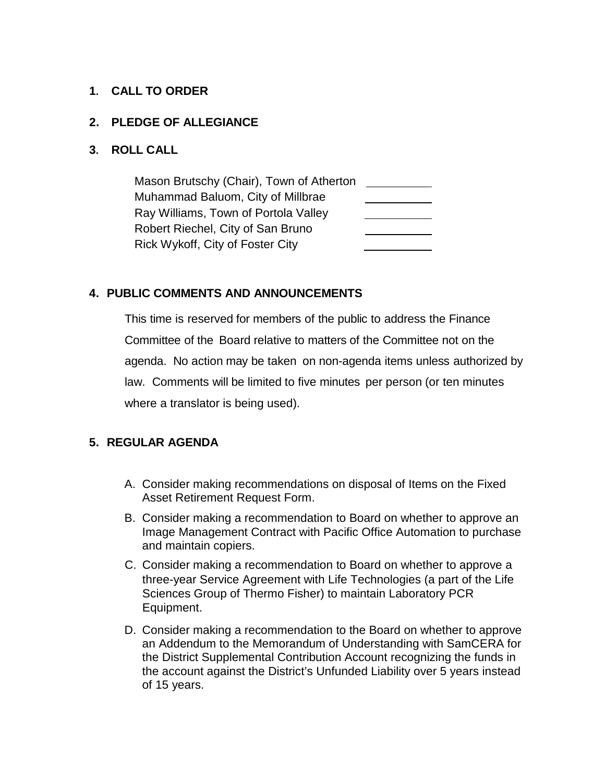#### **1. CALL TO ORDER**

#### **2. PLEDGE OF ALLEGIANCE**

#### **3. ROLL CALL**

Mason Brutschy (Chair), Town of Atherton Muhammad Baluom, City of Millbrae Ray Williams, Town of Portola Valley Robert Riechel, City of San Bruno Rick Wykoff, City of Foster City

## **4. PUBLIC COMMENTS AND ANNOUNCEMENTS**

This time is reserved for members of the public to address the Finance Committee of the Board relative to matters of the Committee not on the agenda. No action may be taken on non-agenda items unless authorized by law. Comments will be limited to five minutes per person (or ten minutes where a translator is being used).

## **5. REGULAR AGENDA**

- A. Consider making recommendations on disposal of Items on the Fixed Asset Retirement Request Form.
- B. Consider making a recommendation to Board on whether to approve an Image Management Contract with Pacific Office Automation to purchase and maintain copiers.
- C. Consider making a recommendation to Board on whether to approve a three-year Service Agreement with Life Technologies (a part of the Life Sciences Group of Thermo Fisher) to maintain Laboratory PCR Equipment.
- D. Consider making a recommendation to the Board on whether to approve an Addendum to the Memorandum of Understanding with SamCERA for the District Supplemental Contribution Account recognizing the funds in the account against the District's Unfunded Liability over 5 years instead of 15 years.